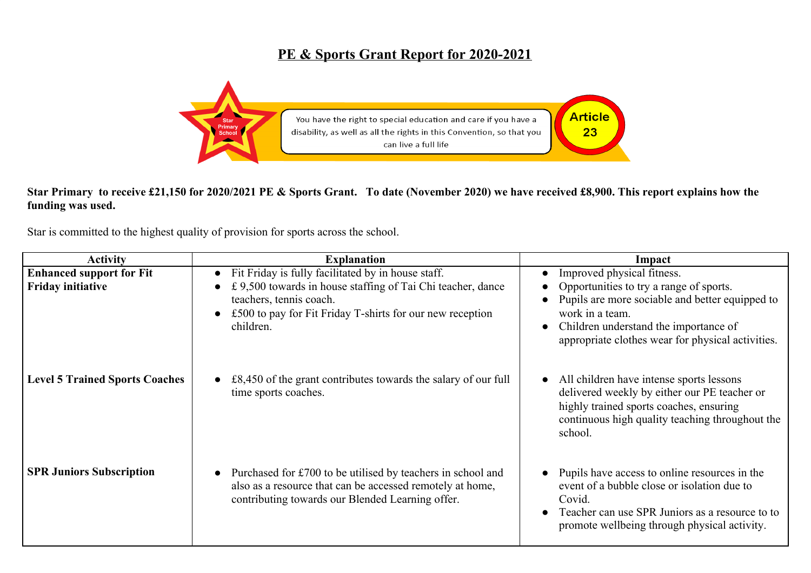## **PE & Sports Grant Report for 2020-2021**



## **Star Primary to receive £21,150 for 2020/2021 PE & Sports Grant. To date (November 2020) we have received £8,900. This report explains how the funding was used.**

Star is committed to the highest quality of provision for sports across the school.

| <b>Activity</b>                       | <b>Explanation</b>                                                                                                                                                           | Impact                                                                                                                                                                                                      |
|---------------------------------------|------------------------------------------------------------------------------------------------------------------------------------------------------------------------------|-------------------------------------------------------------------------------------------------------------------------------------------------------------------------------------------------------------|
| <b>Enhanced support for Fit</b>       | Fit Friday is fully facilitated by in house staff.                                                                                                                           | Improved physical fitness.                                                                                                                                                                                  |
| <b>Friday initiative</b>              | £ 9,500 towards in house staffing of Tai Chi teacher, dance<br>teachers, tennis coach.<br>£500 to pay for Fit Friday T-shirts for our new reception<br>children.             | Opportunities to try a range of sports.<br>Pupils are more sociable and better equipped to<br>work in a team.<br>Children understand the importance of<br>appropriate clothes wear for physical activities. |
| <b>Level 5 Trained Sports Coaches</b> | $£8,450$ of the grant contributes towards the salary of our full<br>time sports coaches.                                                                                     | All children have intense sports lessons<br>delivered weekly by either our PE teacher or<br>highly trained sports coaches, ensuring<br>continuous high quality teaching throughout the<br>school.           |
| <b>SPR Juniors Subscription</b>       | Purchased for £700 to be utilised by teachers in school and<br>also as a resource that can be accessed remotely at home,<br>contributing towards our Blended Learning offer. | Pupils have access to online resources in the<br>event of a bubble close or isolation due to<br>Covid.<br>Teacher can use SPR Juniors as a resource to to<br>promote wellbeing through physical activity.   |